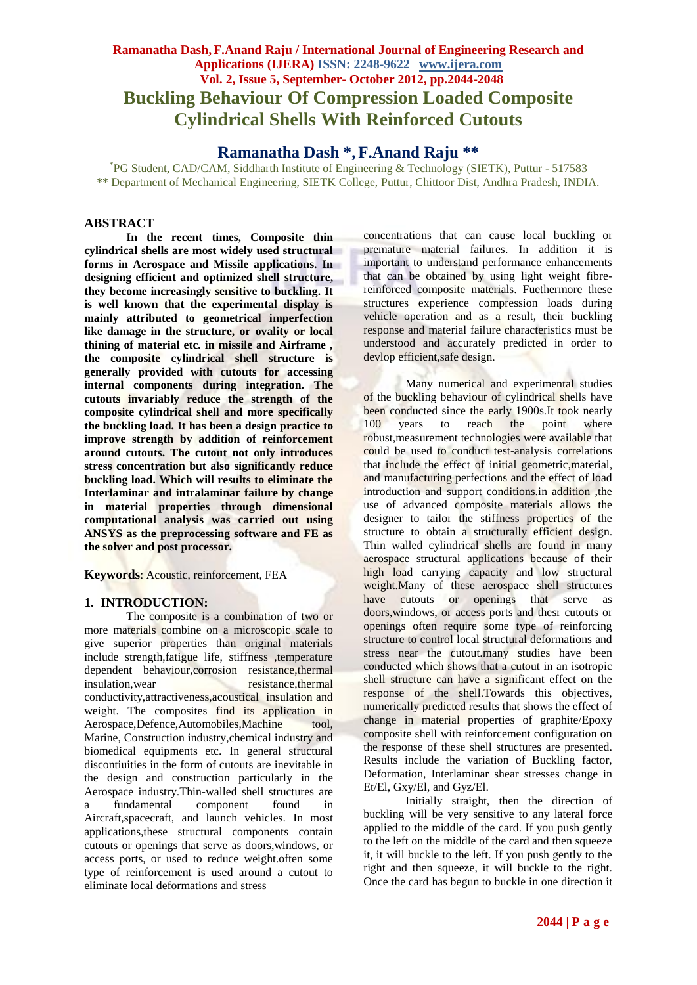# **Ramanatha Dash,F.Anand Raju / International Journal of Engineering Research and Applications (IJERA) ISSN: 2248-9622 www.ijera.com Vol. 2, Issue 5, September- October 2012, pp.2044-2048 Buckling Behaviour Of Compression Loaded Composite Cylindrical Shells With Reinforced Cutouts**

**Ramanatha Dash \*, F.Anand Raju \*\***

\* PG Student, CAD/CAM, Siddharth Institute of Engineering & Technology (SIETK), Puttur - 517583 \*\* Department of Mechanical Engineering, SIETK College, Puttur, Chittoor Dist, Andhra Pradesh, INDIA.

## **ABSTRACT**

**In the recent times, Composite thin cylindrical shells are most widely used structural forms in Aerospace and Missile applications. In designing efficient and optimized shell structure, they become increasingly sensitive to buckling. It is well known that the experimental display is mainly attributed to geometrical imperfection like damage in the structure, or ovality or local thining of material etc. in missile and Airframe , the composite cylindrical shell structure is generally provided with cutouts for accessing internal components during integration. The cutouts invariably reduce the strength of the composite cylindrical shell and more specifically the buckling load. It has been a design practice to improve strength by addition of reinforcement around cutouts. The cutout not only introduces stress concentration but also significantly reduce buckling load. Which will results to eliminate the Interlaminar and intralaminar failure by change in material properties through dimensional computational analysis was carried out using ANSYS as the preprocessing software and FE as the solver and post processor.**

**Keywords**: Acoustic, reinforcement, FEA

#### **1. INTRODUCTION:**

The composite is a combination of two or more materials combine on a microscopic scale to give superior properties than original materials include strength,fatigue life, stiffness ,temperature dependent behaviour,corrosion resistance,thermal insulation, wear resistance, thermal conductivity,attractiveness,acoustical insulation and weight. The composites find its application in Aerospace,Defence,Automobiles,Machine tool, Marine, Construction industry,chemical industry and biomedical equipments etc. In general structural discontiuities in the form of cutouts are inevitable in the design and construction particularly in the Aerospace industry.Thin-walled shell structures are a fundamental component found in Aircraft,spacecraft, and launch vehicles. In most applications,these structural components contain cutouts or openings that serve as doors,windows, or access ports, or used to reduce weight.often some type of reinforcement is used around a cutout to eliminate local deformations and stress

concentrations that can cause local buckling or premature material failures. In addition it is important to understand performance enhancements that can be obtained by using light weight fibrereinforced composite materials. Fuethermore these structures experience compression loads during vehicle operation and as a result, their buckling response and material failure characteristics must be understood and accurately predicted in order to devlop efficient,safe design.

Many numerical and experimental studies of the buckling behaviour of cylindrical shells have been conducted since the early 1900s.It took nearly 100 years to reach the point where robust,measurement technologies were available that could be used to conduct test-analysis correlations that include the effect of initial geometric, material, and manufacturing perfections and the effect of load introduction and support conditions.in addition, the use of advanced composite materials allows the designer to tailor the stiffness properties of the structure to obtain a structurally efficient design. Thin walled cylindrical shells are found in many aerospace structural applications because of their high load carrying capacity and low structural weight.Many of these aerospace shell structures have cutouts or openings that serve as doors,windows, or access ports and thesr cutouts or openings often require some type of reinforcing structure to control local structural deformations and stress near the cutout.many studies have been conducted which shows that a cutout in an isotropic shell structure can have a significant effect on the response of the shell.Towards this objectives, numerically predicted results that shows the effect of change in material properties of graphite/Epoxy composite shell with reinforcement configuration on the response of these shell structures are presented. Results include the variation of Buckling factor, Deformation, Interlaminar shear stresses change in Et/El, Gxy/El, and Gyz/El.

Initially straight, then the direction of buckling will be very sensitive to any lateral force applied to the middle of the card. If you push gently to the left on the middle of the card and then squeeze it, it will buckle to the left. If you push gently to the right and then squeeze, it will buckle to the right. Once the card has begun to buckle in one direction it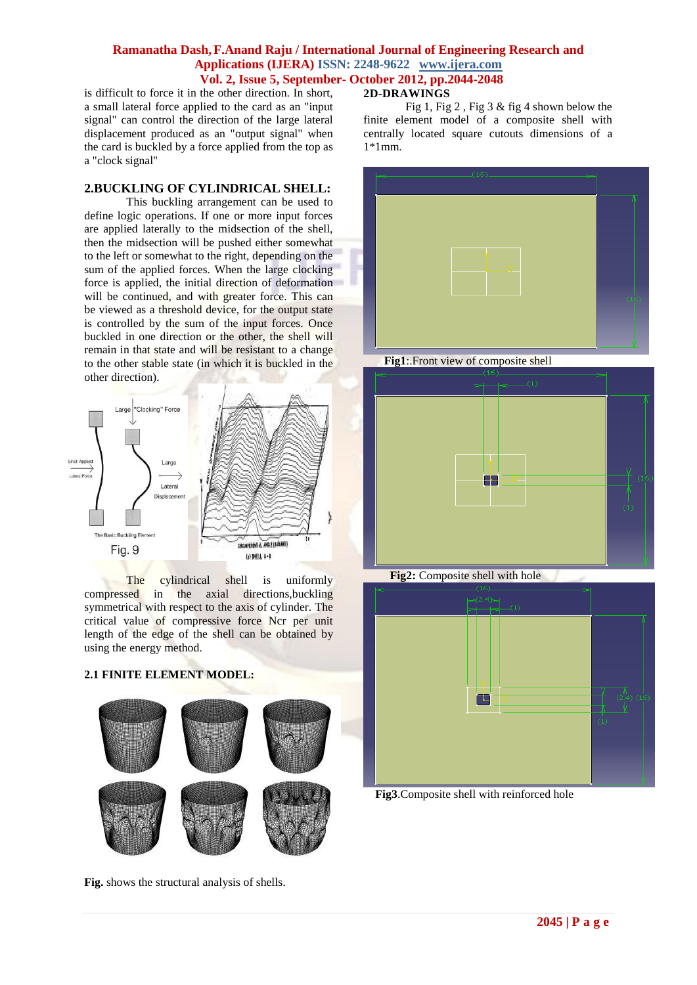is difficult to force it in the other direction. In short, a small lateral force applied to the card as an "input signal" can control the direction of the large lateral displacement produced as an "output signal" when the card is buckled by a force applied from the top as a "clock signal"

## **2.BUCKLING OF CYLINDRICAL SHELL:**

This buckling arrangement can be used to define logic operations. If one or more input forces are applied laterally to the midsection of the shell, then the midsection will be pushed either somewhat to the left or somewhat to the right, depending on the sum of the applied forces. When the large clocking force is applied, the initial direction of deformation will be continued, and with greater force. This can be viewed as a threshold device, for the output state is controlled by the sum of the input forces. Once buckled in one direction or the other, the shell will remain in that state and will be resistant to a change to the other stable state (in which it is buckled in the other direction).



The cylindrical shell is uniformly compressed in the axial directions,buckling symmetrical with respect to the axis of cylinder. The critical value of compressive force Ncr per unit length of the edge of the shell can be obtained by using the energy method.

## **2.1 FINITE ELEMENT MODEL:**



**Fig.** shows the structural analysis of shells.

## **2D-DRAWINGS**

Fig 1, Fig 2 , Fig 3 & fig 4 shown below the finite element model of a composite shell with centrally located square cutouts dimensions of a 1\*1mm.



 **Fig1**:.Front view of composite shell





**Fig3**.Composite shell with reinforced hole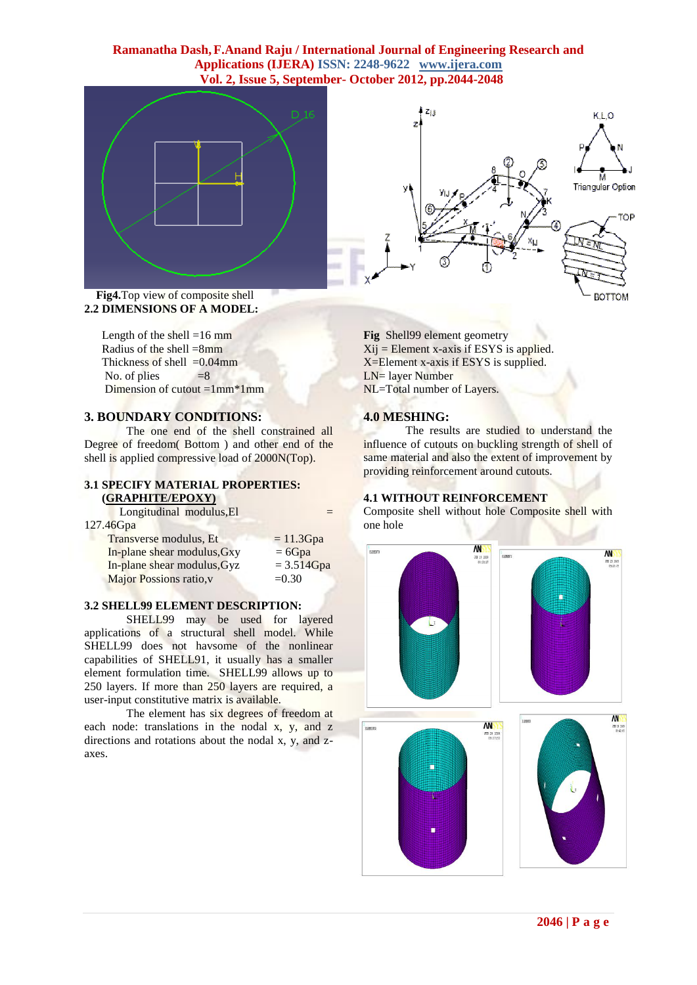



Length of the shell  $=16$  mm Radius of the shell  $=8$ mm Thickness of shell  $=0.04$ mm No. of plies  $=8$ Dimension of cutout  $=1$ mm $*1$ mm

#### **3. BOUNDARY CONDITIONS:**

The one end of the shell constrained all Degree of freedom( Bottom ) and other end of the shell is applied compressive load of 2000N(Top).

## **3.1 SPECIFY MATERIAL PROPERTIES: (GRAPHITE/EPOXY)**

Longitudinal modulus, El 127

| $= 11.3 Gpa$ |
|--------------|
| $= 6Gpa$     |
| $= 3.514Gpa$ |
| $= 0.30$     |
|              |

#### **3.2 SHELL99 ELEMENT DESCRIPTION:**

SHELL99 may be used for layered applications of a structural shell model. While SHELL99 does not havsome of the nonlinear capabilities of SHELL91, it usually has a smaller element formulation time. SHELL99 allows up to 250 layers. If more than 250 layers are required, a user-input constitutive matrix is available.

The element has six degrees of freedom at each node: translations in the nodal x, y, and z directions and rotations about the nodal x, y, and zaxes.



**Fig** Shell99 element geometry  $Xij$  = Element x-axis if ESYS is applied. X=Element x-axis if ESYS is supplied. LN= layer Number NL=Total number of Layers.

## **4.0 MESHING:**

The results are studied to understand the influence of cutouts on buckling strength of shell of same material and also the extent of improvement by providing reinforcement around cutouts.

#### **4.1 WITHOUT REINFORCEMENT**

Composite shell without hole Composite shell with one hole

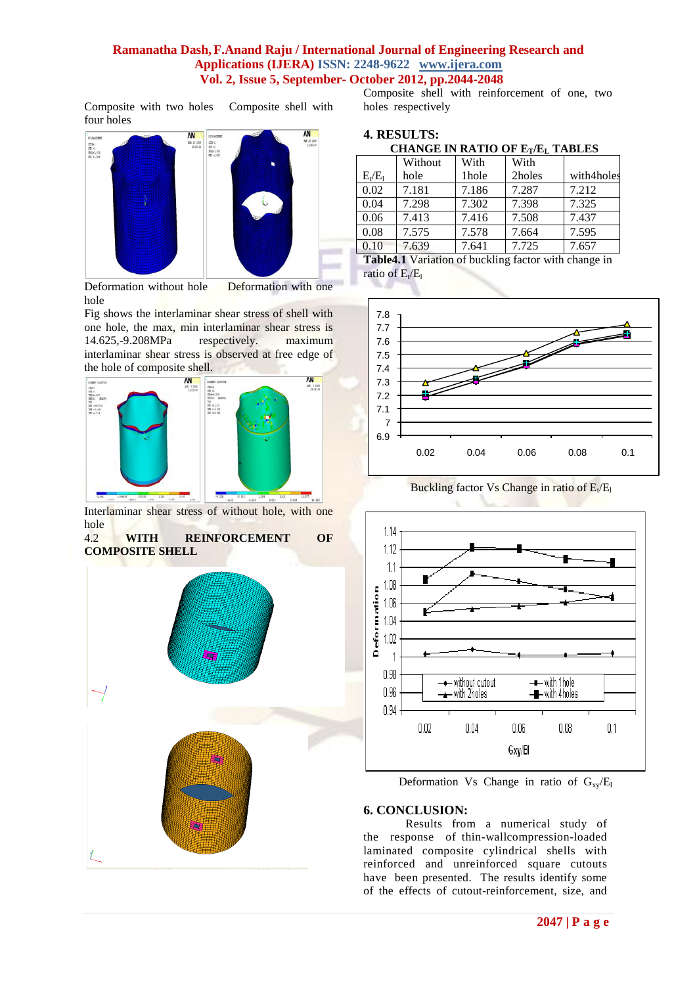Composite with two holes Composite shell with four holes



Deformation without hole Deformation with one hole

Fig shows the interlaminar shear stress of shell with one hole, the max, min interlaminar shear stress is 14.625,-9.208MPa respectively. maximum 14.625,-9.208MPa respectively. maximum interlaminar shear stress is observed at free edge of the hole of composite shell.



Interlaminar shear stress of without hole, with one hole

#### 4.2 **WITH REINFORCEMENT OF COMPOSITE SHELL**



Composite shell with reinforcement of one, two holes respectively

## **4. RESULTS:**

 **CHANGE IN RATIO OF ET/E<sup>L</sup> TABLES**

|           | Without | With  | With   |            |
|-----------|---------|-------|--------|------------|
| $E_t/E_1$ | hole    | 1hole | 2holes | with4holes |
| 0.02      | 7.181   | 7.186 | 7.287  | 7.212      |
| 0.04      | 7.298   | 7.302 | 7.398  | 7.325      |
| 0.06      | 7.413   | 7.416 | 7.508  | 7.437      |
| 0.08      | 7.575   | 7.578 | 7.664  | 7.595      |
| 0.10      | 7.639   | 7.641 | 7.725  | 7.657      |

**Table4.1** Variation of buckling factor with change in ratio of  $E_t/E_l$ 



**Buckling factor Vs Change in ratio of**  $E_t/E_l$ 



Deformation Vs Change in ratio of  $G_{xy}/E_1$ 

## **6. CONCLUSION:**

Results from a numerical study of the response of thin-wallcompression-loaded laminated composite cylindrical shells with reinforced and unreinforced square cutouts have been presented. The results identify some of the effects of cutout-reinforcement, size, and